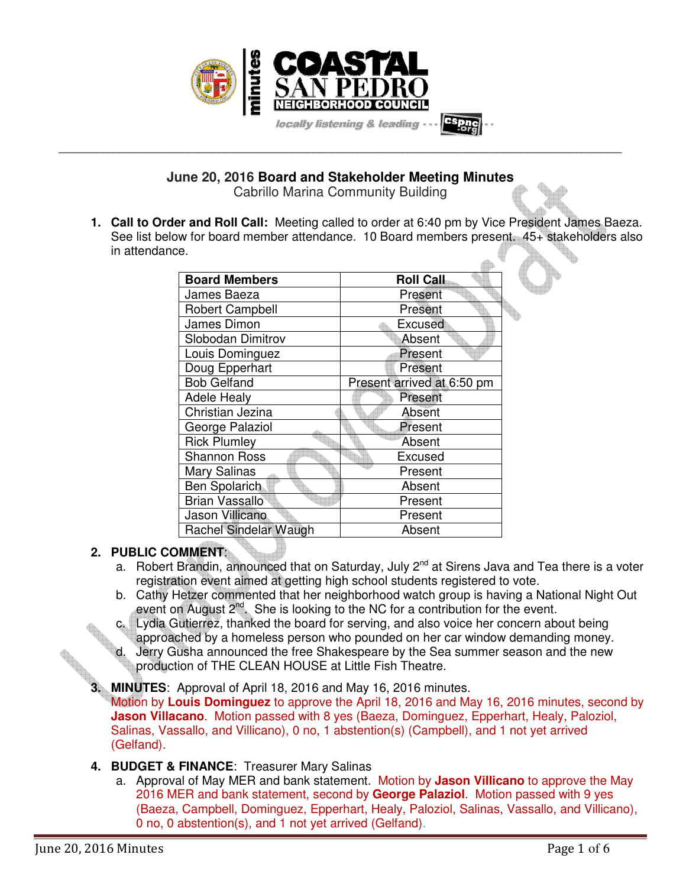

**June 20, 2016 Board and Stakeholder Meeting Minutes**  Cabrillo Marina Community Building

**\_\_\_\_\_\_\_\_\_\_\_\_\_\_\_\_\_\_\_\_\_\_\_\_\_\_\_\_\_\_\_\_\_\_\_\_\_\_\_\_\_\_\_\_\_\_\_\_\_\_\_\_\_\_\_\_\_\_\_\_\_\_\_\_\_\_\_\_\_\_\_\_\_\_\_\_\_\_\_\_\_\_\_\_\_\_\_\_\_\_\_\_\_\_\_\_\_\_\_\_\_\_\_\_\_\_\_\_\_\_\_\_\_** 

**1. Call to Order and Roll Call:** Meeting called to order at 6:40 pm by Vice President James Baeza. See list below for board member attendance. 10 Board members present. 45+ stakeholders also in attendance.

| <b>Board Members</b>   | <b>Roll Call</b>           |
|------------------------|----------------------------|
| James Baeza            | Present                    |
| <b>Robert Campbell</b> | Present                    |
| James Dimon            | <b>Excused</b>             |
| Slobodan Dimitrov      | Absent                     |
| Louis Dominguez        | Present                    |
| Doug Epperhart         | Present                    |
| <b>Bob Gelfand</b>     | Present arrived at 6:50 pm |
| <b>Adele Healy</b>     | Present                    |
| Christian Jezina       | Absent                     |
| George Palaziol        | Present                    |
| <b>Rick Plumley</b>    | Absent                     |
| <b>Shannon Ross</b>    | Excused                    |
| Mary Salinas           | Present                    |
| <b>Ben Spolarich</b>   | Absent                     |
| <b>Brian Vassallo</b>  | Present                    |
| Jason Villicano        | Present                    |
| Rachel Sindelar Waugh  | Absent                     |

# **2. PUBLIC COMMENT**:

- a. Robert Brandin, announced that on Saturday, July 2<sup>nd</sup> at Sirens Java and Tea there is a voter registration event aimed at getting high school students registered to vote.
- b. Cathy Hetzer commented that her neighborhood watch group is having a National Night Out event on August 2<sup>nd</sup>. She is looking to the NC for a contribution for the event.
- Lydia Gutierrez, thanked the board for serving, and also voice her concern about being approached by a homeless person who pounded on her car window demanding money. d. Jerry Gusha announced the free Shakespeare by the Sea summer season and the new
	- production of THE CLEAN HOUSE at Little Fish Theatre.
- **3. MINUTES**: Approval of April 18, 2016 and May 16, 2016 minutes.

Motion by **Louis Dominguez** to approve the April 18, 2016 and May 16, 2016 minutes, second by **Jason Villacano**. Motion passed with 8 yes (Baeza, Dominguez, Epperhart, Healy, Paloziol, Salinas, Vassallo, and Villicano), 0 no, 1 abstention(s) (Campbell), and 1 not yet arrived (Gelfand).

- **4. BUDGET & FINANCE**: Treasurer Mary Salinas
	- a. Approval of May MER and bank statement. Motion by **Jason Villicano** to approve the May 2016 MER and bank statement, second by **George Palaziol**. Motion passed with 9 yes (Baeza, Campbell, Dominguez, Epperhart, Healy, Paloziol, Salinas, Vassallo, and Villicano), 0 no, 0 abstention(s), and 1 not yet arrived (Gelfand).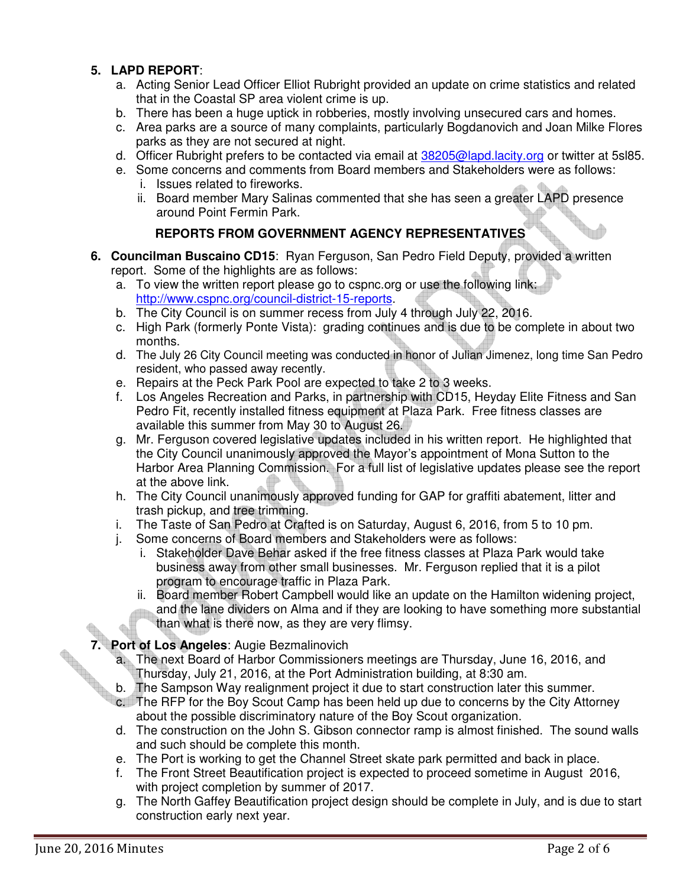# **5. LAPD REPORT**:

- a. Acting Senior Lead Officer Elliot Rubright provided an update on crime statistics and related that in the Coastal SP area violent crime is up.
- b. There has been a huge uptick in robberies, mostly involving unsecured cars and homes.
- c. Area parks are a source of many complaints, particularly Bogdanovich and Joan Milke Flores parks as they are not secured at night.
- d. Officer Rubright prefers to be contacted via email at 38205@lapd.lacity.org or twitter at 5sl85.
- e. Some concerns and comments from Board members and Stakeholders were as follows:
	- i. Issues related to fireworks.
	- ii. Board member Mary Salinas commented that she has seen a greater LAPD presence around Point Fermin Park.

# **REPORTS FROM GOVERNMENT AGENCY REPRESENTATIVES**

- **6. Councilman Buscaino CD15**: Ryan Ferguson, San Pedro Field Deputy, provided a written report. Some of the highlights are as follows:
	- a. To view the written report please go to cspnc.org or use the following link: http://www.cspnc.org/council-district-15-reports.
	- b. The City Council is on summer recess from July 4 through July 22, 2016.
	- c. High Park (formerly Ponte Vista): grading continues and is due to be complete in about two months.
	- d. The July 26 City Council meeting was conducted in honor of Julian Jimenez, long time San Pedro resident, who passed away recently.
	- e. Repairs at the Peck Park Pool are expected to take 2 to 3 weeks.
	- f. Los Angeles Recreation and Parks, in partnership with CD15, Heyday Elite Fitness and San Pedro Fit, recently installed fitness equipment at Plaza Park. Free fitness classes are available this summer from May 30 to August 26.
	- g. Mr. Ferguson covered legislative updates included in his written report. He highlighted that the City Council unanimously approved the Mayor's appointment of Mona Sutton to the Harbor Area Planning Commission. For a full list of legislative updates please see the report at the above link.
	- h. The City Council unanimously approved funding for GAP for graffiti abatement, litter and trash pickup, and tree trimming.
	- i. The Taste of San Pedro at Crafted is on Saturday, August 6, 2016, from 5 to 10 pm.
	- j. Some concerns of Board members and Stakeholders were as follows:
		- i. Stakeholder Dave Behar asked if the free fitness classes at Plaza Park would take business away from other small businesses. Mr. Ferguson replied that it is a pilot program to encourage traffic in Plaza Park.
		- ii. Board member Robert Campbell would like an update on the Hamilton widening project, and the lane dividers on Alma and if they are looking to have something more substantial than what is there now, as they are very flimsy.

# **7. Port of Los Angeles**: Augie Bezmalinovich

- a. The next Board of Harbor Commissioners meetings are Thursday, June 16, 2016, and Thursday, July 21, 2016, at the Port Administration building, at 8:30 am.
- b. The Sampson Way realignment project it due to start construction later this summer.
- c. The RFP for the Boy Scout Camp has been held up due to concerns by the City Attorney about the possible discriminatory nature of the Boy Scout organization.
- d. The construction on the John S. Gibson connector ramp is almost finished. The sound walls and such should be complete this month.
- e. The Port is working to get the Channel Street skate park permitted and back in place.
- f. The Front Street Beautification project is expected to proceed sometime in August 2016, with project completion by summer of 2017.
- g. The North Gaffey Beautification project design should be complete in July, and is due to start construction early next year.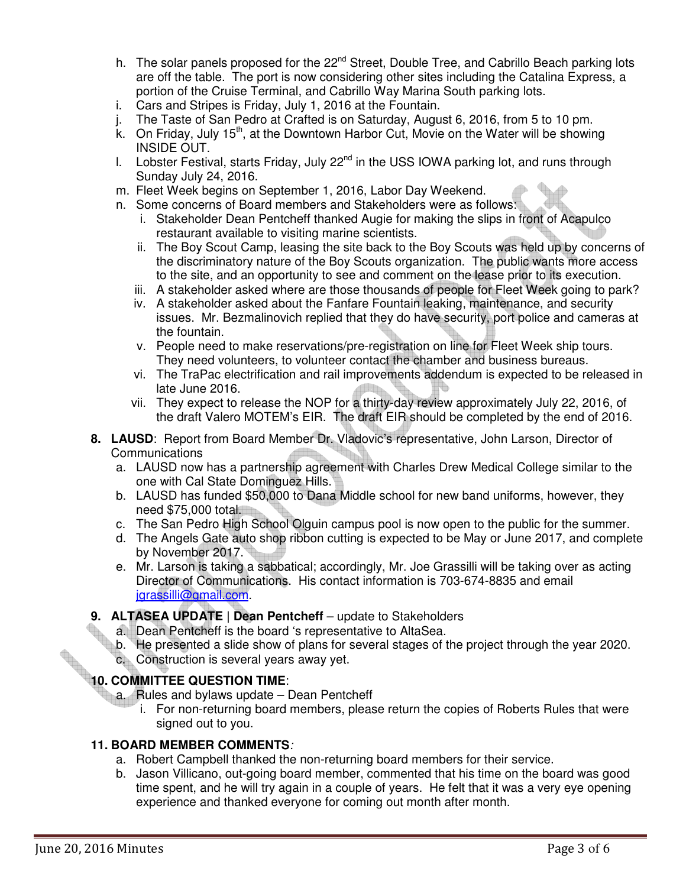- h. The solar panels proposed for the 22<sup>nd</sup> Street, Double Tree, and Cabrillo Beach parking lots are off the table. The port is now considering other sites including the Catalina Express, a portion of the Cruise Terminal, and Cabrillo Way Marina South parking lots.
- i. Cars and Stripes is Friday, July 1, 2016 at the Fountain.
- The Taste of San Pedro at Crafted is on Saturday, August 6, 2016, from 5 to 10 pm.
- k. On Friday, July 15<sup>th</sup>, at the Downtown Harbor Cut, Movie on the Water will be showing INSIDE OUT.
- I. Lobster Festival, starts Friday, July  $22^{nd}$  in the USS IOWA parking lot, and runs through Sunday July 24, 2016.
- m. Fleet Week begins on September 1, 2016, Labor Day Weekend.
- n. Some concerns of Board members and Stakeholders were as follows:
	- i. Stakeholder Dean Pentcheff thanked Augie for making the slips in front of Acapulco restaurant available to visiting marine scientists.
	- ii. The Boy Scout Camp, leasing the site back to the Boy Scouts was held up by concerns of the discriminatory nature of the Boy Scouts organization. The public wants more access to the site, and an opportunity to see and comment on the lease prior to its execution.
	- iii. A stakeholder asked where are those thousands of people for Fleet Week going to park?
	- iv. A stakeholder asked about the Fanfare Fountain leaking, maintenance, and security issues. Mr. Bezmalinovich replied that they do have security, port police and cameras at the fountain.
	- v. People need to make reservations/pre-registration on line for Fleet Week ship tours. They need volunteers, to volunteer contact the chamber and business bureaus.
	- vi. The TraPac electrification and rail improvements addendum is expected to be released in late June 2016.
	- vii. They expect to release the NOP for a thirty-day review approximately July 22, 2016, of the draft Valero MOTEM's EIR. The draft EIR should be completed by the end of 2016.
- **8. LAUSD**: Report from Board Member Dr. Vladovic's representative, John Larson, Director of Communications
	- a. LAUSD now has a partnership agreement with Charles Drew Medical College similar to the one with Cal State Dominguez Hills.
	- b. LAUSD has funded \$50,000 to Dana Middle school for new band uniforms, however, they need \$75,000 total.
	- c. The San Pedro High School Olguin campus pool is now open to the public for the summer.
	- d. The Angels Gate auto shop ribbon cutting is expected to be May or June 2017, and complete by November 2017.
	- e. Mr. Larson is taking a sabbatical; accordingly, Mr. Joe Grassilli will be taking over as acting Director of Communications. His contact information is 703-674-8835 and email jgrassilli@gmail.com.

## 9. **ALTASEA UPDATE | Dean Pentcheff** – update to Stakeholders

- a. Dean Pentcheff is the board 's representative to AltaSea.
- b. He presented a slide show of plans for several stages of the project through the year 2020.
- c. Construction is several years away yet.

# **10. COMMITTEE QUESTION TIME:**<br> **10. COMMITTEE QUESTION TIME:**

- a. Rules and bylaws update Dean Pentcheff
	- i. For non-returning board members, please return the copies of Roberts Rules that were signed out to you.

## **11. BOARD MEMBER COMMENTS**:

- a. Robert Campbell thanked the non-returning board members for their service.
- b. Jason Villicano, out-going board member, commented that his time on the board was good time spent, and he will try again in a couple of years. He felt that it was a very eye opening experience and thanked everyone for coming out month after month.